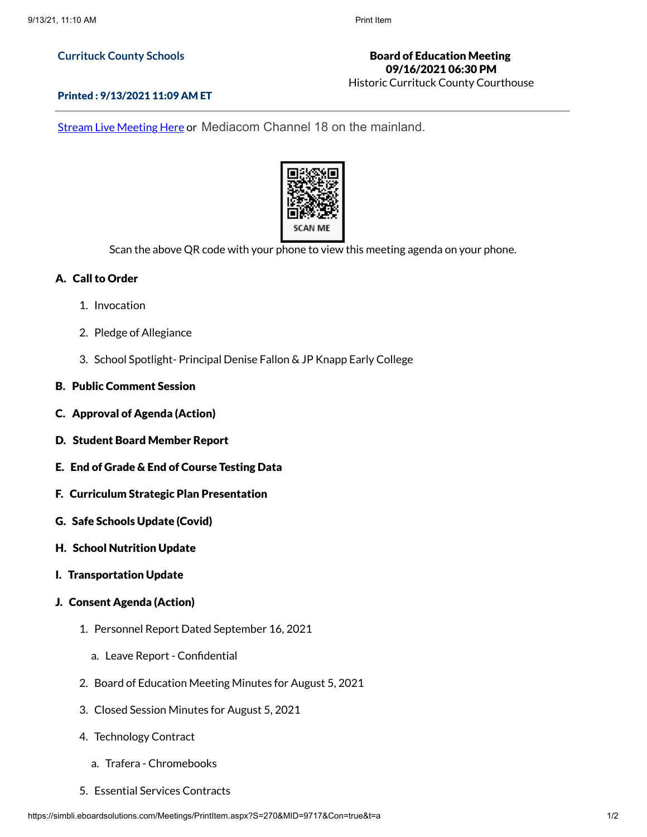#### **Currituck County Schools**

# Board of Education Meeting 09/16/2021 06:30 PM

Historic Currituck County Courthouse

#### Printed : 9/13/2021 11:09 AM ET

Stream Live [Meeting](http://currituckcountync.iqm2.com/Citizens/default.aspx) Here or Mediacom Channel 18 on the mainland.



Scan the above QR code with your phone to view this meeting agenda on your phone.

## A. Call to Order

- 1. Invocation
- 2. Pledge of Allegiance
- 3. School Spotlight- Principal Denise Fallon & JP Knapp Early College

## B. Public Comment Session

- C. Approval of Agenda (Action)
- D. Student Board Member Report
- E. End of Grade & End of Course Testing Data
- F. Curriculum Strategic Plan Presentation
- G. Safe Schools Update (Covid)
- H. School Nutrition Update
- I. Transportation Update
- J. Consent Agenda (Action)
	- 1. Personnel Report Dated September 16, 2021
		- a. Leave Report Confidential
	- 2. Board of Education Meeting Minutes for August 5, 2021
	- 3. Closed Session Minutes for August 5, 2021
	- 4. Technology Contract
		- a. Trafera Chromebooks
	- 5. Essential Services Contracts